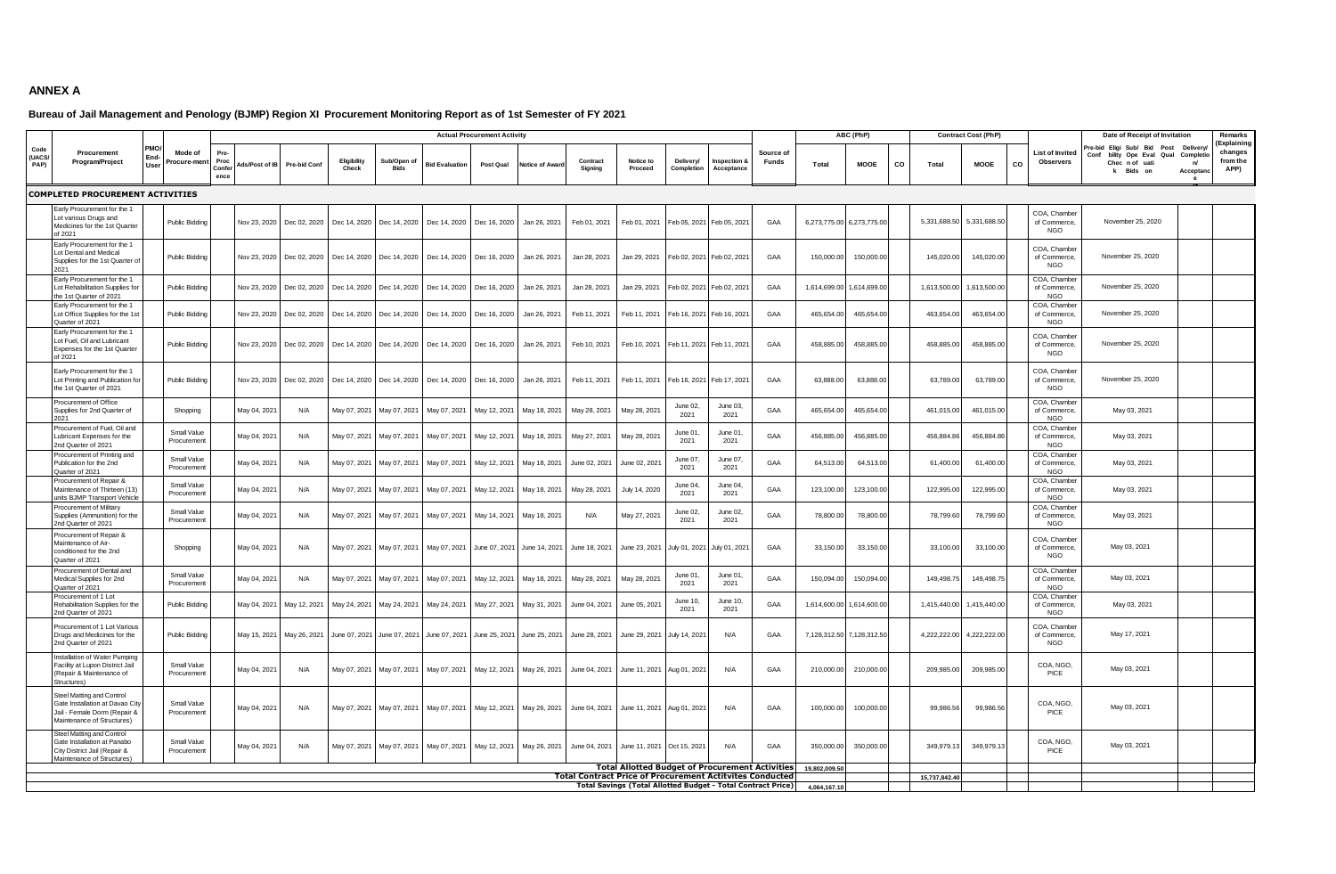## **ANNEX A**

## **Bureau of Jail Management and Penology (BJMP) Region XI Procurement Monitoring Report as of 1st Semester of FY 2021**

|                                                                                                                            |     | Mode of<br>rocure-men      |                       | <b>Actual Procurement Activity</b> |                           |                      |                                            |                                        |               |                       |                                                                 |                                                                     |                         |                             | ABC (PhP)          |               |                           |    | <b>Contract Cost (PhP)</b> |              | Date of Receipt of Invitation              | Remarks                                                                                      |                                          |                                           |
|----------------------------------------------------------------------------------------------------------------------------|-----|----------------------------|-----------------------|------------------------------------|---------------------------|----------------------|--------------------------------------------|----------------------------------------|---------------|-----------------------|-----------------------------------------------------------------|---------------------------------------------------------------------|-------------------------|-----------------------------|--------------------|---------------|---------------------------|----|----------------------------|--------------|--------------------------------------------|----------------------------------------------------------------------------------------------|------------------------------------------|-------------------------------------------|
| Code<br>Procurement<br>(UACS/<br>Program/Project<br>PAP)                                                                   | Use |                            | Proc<br>Confe<br>ence | Ads/Post of IB                     | Pre-bid Con               | Eligibility<br>Check | Sub/Open o<br><b>Bids</b>                  | <b>Bid Evaluation</b>                  | Post Qual     | <b>Jotice of Awar</b> | Contract<br>Sianina                                             | Notice to<br>Proceed                                                | Delivery/<br>Completion | nspection &<br>Acceptance   | Source of<br>Funds | Total         | <b>MOOE</b>               | co | Total                      | MOOE         | List of Invited<br><b>Observers</b><br>co  | re-bid Eligi Sub/ Bid<br>Post<br>Conf<br>bility Ope Eval Qual<br>Chec n of uati<br>k Bids on | Delivery<br>Completio<br>n/<br>Acceptano | Explaining<br>changes<br>from the<br>APP) |
| <b>COMPLETED PROCUREMENT ACTIVITIES</b>                                                                                    |     |                            |                       |                                    |                           |                      |                                            |                                        |               |                       |                                                                 |                                                                     |                         |                             |                    |               |                           |    |                            |              |                                            |                                                                                              |                                          |                                           |
| Early Procurement for the 1<br>Lot various Drugs and<br>Medicines for the 1st Quarter<br>of 2021                           |     | <b>Public Bidding</b>      |                       | Nov 23, 2020                       | Dec 02, 2020              | Dec 14, 2020         |                                            | Dec 14, 2020 Dec 14, 2020              | Dec 16, 2020  | Jan 26, 2021          | Feb 01, 2021                                                    | Feb 01, 2021                                                        |                         | Feb 05, 2021 Feb 05, 2021   | GAA                |               | 6,273,775.00 6,273,775.00 |    | 5,331,688.50               | 5,331,688.50 | COA, Chamber<br>of Commerce,<br><b>NGO</b> | November 25, 2020                                                                            |                                          |                                           |
| Early Procurement for the 1<br>Lot Dental and Medical<br>Supplies for the 1st Quarter o<br>2021                            |     | <b>Public Bidding</b>      |                       | Nov 23, 2020                       | Dec 02, 2020              |                      | Dec 14, 2020   Dec 14, 2020   Dec 14, 2020 |                                        | Dec 16, 2020  | Jan 26, 2021          | Jan 28, 2021                                                    | Jan 29, 2021                                                        |                         | Feb 02, 2021 Feb 02, 2021   | GAA                | 150,000.00    | 150,000.00                |    | 145,020.00                 | 145,020.00   | COA, Chamber<br>of Commerce,<br>NGO        | November 25, 2020                                                                            |                                          |                                           |
| Early Procurement for the 1<br>Lot Rehabilitation Supplies for<br>the 1st Quarter of 2021                                  |     | Public Bidding             |                       | Nov 23, 2020                       | Dec 02, 2020              |                      | Dec 14, 2020 Dec 14, 2020                  | Dec 14, 2020                           | Dec 16, 2020  | Jan 26, 2021          | Jan 28, 2021                                                    | Jan 29, 2021                                                        |                         | Feb 02, 2021 Feb 02, 2021   | GAA                | 1,614,699.00  | 1,614,699.00              |    | 1,613,500.0                | 1,613,500.00 | COA, Chamber<br>of Commerce<br>NGO         | November 25, 2020                                                                            |                                          |                                           |
| Early Procurement for the 1<br>Lot Office Supplies for the 1st<br>Quarter of 2021                                          |     | <b>Public Bidding</b>      |                       | Nov 23, 2020                       | Dec 02, 2020              | Dec 14, 2020         | Dec 14, 2020                               | Dec 14, 2020                           | Dec 16, 2020  | Jan 26, 2021          | Feb 11, 2021                                                    | Feb 11, 2021                                                        |                         | Feb 16, 2021 Feb 16, 2021   | GAA                | 465.654.00    | 465,654.00                |    | 463.654.00                 | 463.654.00   | COA, Chamber<br>of Commerce,<br><b>NGO</b> | November 25, 2020                                                                            |                                          |                                           |
| Early Procurement for the 1<br>Lot Fuel, Oil and Lubricant<br>Expenses for the 1st Quarter<br>of 2021                      |     | <b>Public Bidding</b>      |                       |                                    | Nov 23, 2020 Dec 02, 2020 |                      |                                            | Dec 14, 2020 Dec 14, 2020 Dec 14, 2020 | Dec 16, 2020  | Jan 26, 2021          | Feb 10, 2021                                                    | Feb 10, 2021                                                        |                         | Feb 11, 2021 Feb 11, 2021   | GAA                | 458,885.00    | 458,885.00                |    | 458,885.0                  | 458,885.00   | COA, Chamber<br>of Commerce,<br><b>NGO</b> | November 25, 2020                                                                            |                                          |                                           |
| Early Procurement for the 1<br>Lot Printing and Publication for<br>the 1st Quarter of 2021                                 |     | <b>Public Bidding</b>      |                       | Nov 23, 2020                       | Dec 02, 2020              |                      | Dec 14, 2020 Dec 14, 2020 Dec 14, 2020     |                                        | Dec 16, 2020  | Jan 26, 2021          | Feb 11, 2021                                                    | Feb 11, 2021                                                        |                         | Feb 16, 2021 Feb 17, 2021   | GAA                | 63,888.00     | 63,888.00                 |    | 63,789.00                  | 63,789.00    | COA, Chamber<br>of Commerce,<br>NGO        | November 25, 2020                                                                            |                                          |                                           |
| Procurement of Office<br>Supplies for 2nd Quarter of                                                                       |     | Shopping                   |                       | May 04, 2021                       | N/A                       | May 07, 2021         | May 07, 2021                               | May 07, 2021                           | May 12, 2021  | May 18, 2021          | May 28, 2021                                                    | May 28, 2021                                                        | June 02,<br>2021        | June 03,<br>2021            | GAA                | 465,654.0     | 465,654.0                 |    | 461,015.00                 | 461,015.00   | COA, Chamber<br>of Commerce,<br>NGO        | May 03, 2021                                                                                 |                                          |                                           |
| Procurement of Fuel, Oil and<br>ubricant Expenses for the<br>2nd Quarter of 2021                                           |     | Small Value<br>Procurement |                       | May 04, 2021                       | N/A                       | May 07, 2021         | May 07, 2021                               | May 07, 2021                           | May 12, 2021  | May 18, 2021          | May 27, 2021                                                    | May 28, 2021                                                        | June 01,<br>2021        | June 01<br>2021             | GAA                | 456,885.00    | 456,885.00                |    | 456,884.86                 | 456,884.86   | COA, Chamber<br>of Commerce,<br>NGO        | May 03, 2021                                                                                 |                                          |                                           |
| Procurement of Printing and<br>Publication for the 2nd<br>Quarter of 2021                                                  |     | Small Value<br>Procurement |                       | May 04, 2021                       | N/A                       | May 07, 2021         | May 07, 2021                               | May 07, 2021                           | May 12, 2021  | May 18, 2021          | June 02, 2021                                                   | June 02, 2021                                                       | June 07,<br>2021        | June 07,<br>2021            | GAA                | 64,513.00     | 64,513.00                 |    | 61,400.0                   | 61,400.00    | COA, Chamber<br>of Commerce,<br>NGO        | May 03, 2021                                                                                 |                                          |                                           |
| Procurement of Repair &<br>Maintenance of Thirteen (13)<br>units BJMP Transport Vehicle                                    |     | Small Value<br>Procuremen  |                       | May 04, 2021                       | N/A                       | May 07, 2021         | May 07, 2021                               | May 07, 2021                           | May 12, 2021  | May 18, 2021          | May 28, 2021                                                    | July 14, 2020                                                       | June 04<br>2021         | June 04,<br>2021            | GAA                | 123,100.00    | 123,100.00                |    | 122,995.00                 | 122,995.00   | COA, Chamber<br>of Commerce,<br>NGO        | May 03, 2021                                                                                 |                                          |                                           |
| Procurement of Military<br>Supplies (Ammunition) for the<br>2nd Quarter of 2021                                            |     | Small Value<br>Procuremen  |                       | May 04, 2021                       | N/A                       | May 07, 2021         | May 07, 2021                               | May 07, 2021                           | May 14, 2021  | May 18, 2021          | N/A                                                             | May 27, 2021                                                        | June 02<br>2021         | June 02,<br>2021            | GAA                | 78,800.00     | 78,800.00                 |    | 78,799.6                   | 78,799.60    | COA, Chamber<br>of Commerce,<br><b>NGO</b> | May 03, 2021                                                                                 |                                          |                                           |
| Procurement of Repair &<br>Maintenance of Air-<br>conditioned for the 2nd<br>Quarter of 2021                               |     | Shopping                   |                       | May 04, 2021                       | N/A                       |                      | May 07, 2021 May 07, 2021 May 07, 2021     |                                        | June 07, 2021 |                       | June 14, 2021 June 18, 2021                                     | June 23, 2021                                                       |                         | July 01, 2021 July 01, 2021 | GAA                | 33,150.00     | 33,150.00                 |    | 33,100.0                   | 33,100.00    | COA, Chamber<br>of Commerce,<br>NGO        | May 03, 2021                                                                                 |                                          |                                           |
| Procurement of Dental and<br>Medical Supplies for 2nd<br>Quarter of 2021                                                   |     | Small Value<br>Procurement |                       | May 04, 2021                       | N/A                       | May 07, 2021         | May 07, 2021                               | May 07, 2021                           | May 12, 2021  | May 18, 2021          | May 28, 2021                                                    | May 28, 2021                                                        | June 01<br>2021         | June 01<br>2021             | GAA                | 150,094.00    | 150,094.00                |    | 149,498.7                  | 149,498.75   | COA. Chamber<br>of Commerce,<br><b>NGO</b> | May 03, 2021                                                                                 |                                          |                                           |
| Procurement of 1 Lot<br>Rehabilitation Supplies for the<br>2nd Quarter of 2021                                             |     | Public Bidding             |                       | May 04, 2021                       | May 12, 2021              | May 24, 2021         | May 24, 2021                               | May 24, 2021                           | May 27, 2021  | May 31, 2021          | June 04, 2021                                                   | June 05, 2021                                                       | June 10,<br>2021        | June 10,<br>2021            | GAA                | 1,614,600.00  | 1,614,600.00              |    | 1,415,440.0                | 1,415,440.00 | COA, Chamber<br>of Commerce<br><b>NGO</b>  | May 03, 2021                                                                                 |                                          |                                           |
| Procurement of 1 Lot Various<br>Drugs and Medicines for the<br>2nd Quarter of 2021                                         |     | <b>Public Bidding</b>      |                       |                                    | May 15, 2021 May 26, 2021 |                      | June 07, 2021 June 07, 2021 June 07, 2021  |                                        | June 25, 2021 |                       | June 25, 2021 June 28, 2021                                     | June 29, 2021                                                       | July 14, 2021           | N/A                         | GAA                |               | 7,128,312.50 7,128,312.50 |    | 4,222,222.0                | 4,222,222.00 | COA, Chamber<br>of Commerce,<br>NGO        | May 17, 2021                                                                                 |                                          |                                           |
| Installation of Water Pumping<br>Facility at Lupon District Jail<br>(Repair & Maintenance of<br>Structures)                |     | Small Value<br>Procurement |                       | May 04, 2021                       | N/A                       |                      |                                            | May 07, 2021 May 07, 2021 May 07, 2021 | May 12, 2021  | May 26, 2021          | June 04, 2021 June 11, 2021                                     |                                                                     | Aug 01, 2021            | N/A                         | GAA                | 210,000.00    | 210,000.00                |    | 209,985.00                 | 209,985.00   | COA, NGO,<br>PICE                          | May 03, 2021                                                                                 |                                          |                                           |
| Steel Matting and Control<br>Gate Installation at Davao City<br>Jail - Female Dorm (Repair &<br>Maintenance of Structures) |     | Small Value<br>Procurement |                       | May 04, 2021                       | N/A                       |                      | May 07, 2021 May 07, 2021                  | May 07, 2021                           | May 12, 2021  | May 26, 2021          | June 04, 2021                                                   | June 11, 2021                                                       | Aug 01, 2021            | N/A                         | GAA                | 100,000.00    | 100,000.00                |    | 99,986.5                   | 99,986.56    | COA, NGO,<br>PICE                          | May 03, 2021                                                                                 |                                          |                                           |
| Steel Matting and Control<br>Gate Installation at Panabo<br>City District Jail (Repair &<br>Maintenance of Structures)     |     | Small Value<br>Procurement |                       | May 04, 2021                       | N/A                       |                      |                                            | May 07, 2021 May 07, 2021 May 07, 2021 | May 12, 2021  |                       | May 26, 2021 June 04, 2021 June 11, 2021                        |                                                                     | Oct 15, 2021            | N/A                         | GAA                | 350,000.00    | 350,000.00                |    | 349,979.1                  | 349,979.13   | COA, NGO,<br>PICE                          | May 03, 2021                                                                                 |                                          |                                           |
|                                                                                                                            |     |                            |                       |                                    |                           |                      |                                            |                                        |               |                       |                                                                 | <b>Total Allotted Budget of Procurement Activities</b>              |                         |                             |                    | 19,802,009.50 |                           |    |                            |              |                                            |                                                                                              |                                          |                                           |
|                                                                                                                            |     |                            |                       |                                    |                           |                      |                                            |                                        |               |                       | <b>Total Contract Price of Procurement Actitvites Conducted</b> |                                                                     |                         |                             |                    |               |                           |    | 15,737,842.40              |              |                                            |                                                                                              |                                          |                                           |
|                                                                                                                            |     |                            |                       |                                    |                           |                      |                                            |                                        |               |                       |                                                                 | <b>Total Savings (Total Allotted Budget - Total Contract Price)</b> |                         |                             |                    | 4.064.167.10  |                           |    |                            |              |                                            |                                                                                              |                                          |                                           |